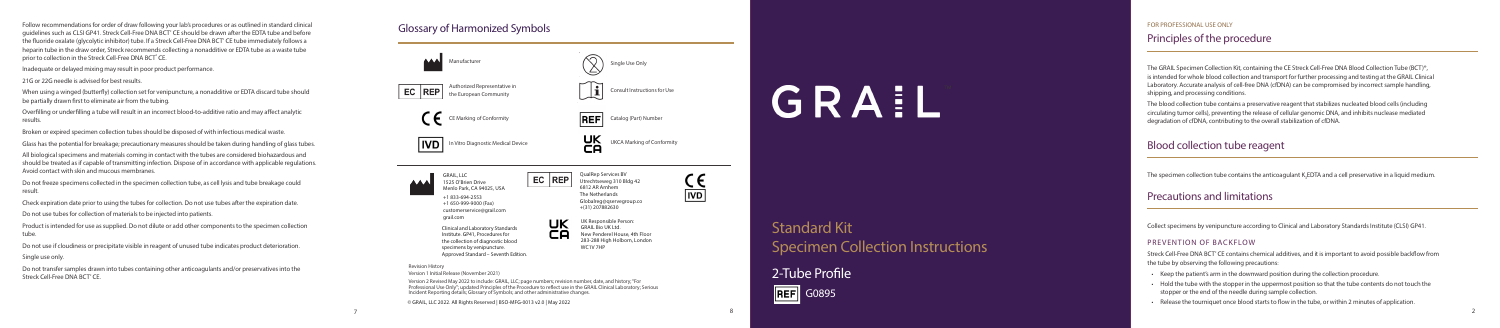# Blood collection tube reagent

The specimen collection tube contains the anticoagulant  $\mathsf{K}_{\!_3}$ EDTA and a cell preservative in a liquid medium.

The GRAIL Specimen Collection Kit, containing the CE Streck Cell-Free DNA Blood Collection Tube (BCT)®, is intended for whole blood collection and transport for further processing and testing at the GRAIL Clinical Laboratory. Accurate analysis of cell-free DNA (cfDNA) can be compromised by incorrect sample handling, shipping, and processing conditions.

Streck Cell-Free DNA BCT° CE contains chemical additives, and it is important to avoid possible backflow from the tube by observing the following precautions:

The blood collection tube contains a preservative reagent that stabilizes nucleated blood cells (including circulating tumor cells), preventing the release of cellular genomic DNA, and inhibits nuclease mediated degradation of cfDNA, contributing to the overall stabilization of cfDNA.

Follow recommendations for order of draw following your lab's procedures or as outlined in standard clinical guidelines such as CLSI GP41. Streck Cell-Free DNA BCT<sup>®</sup> CE should be drawn after the EDTA tube and before the fluoride oxalate (glycolytic inhibitor) tube. If a Streck Cell-Free DNA BCT ® CE tube immediately follows a heparin tube in the draw order, Streck recommends collecting a nonadditive or EDTA tube as a waste tube prior to collection in the Streck Cell-Free DNA BCT° CE.

## Principles of the procedure

Collect specimens by venipuncture according to Clinical and Laboratory Standards Institute (CLSI) GP41.

## PREVENTION OF BACKELOW

- Keep the patient's arm in the downward position during the collection procedure.
- Hold the tube with the stopper in the uppermost position so that the tube contents do not touch the stopper or the end of the needle during sample collection.
- Release the tourniquet once blood starts to flow in the tube, or within 2 minutes of application.

# Precautions and limitations

Do not transfer samples drawn into tubes containing other anticoagulants and/or preservatives into the Streck Cell-Free DNA BCT<sup>®</sup> CE.

Inadequate or delayed mixing may result in poor product performance.

21G or 22G needle is advised for best results.

When using a winged (butterfly) collection set for venipuncture, a nonadditive or EDTA discard tube should be partially drawn first to eliminate air from the tubing.

Overfilling or underfilling a tube will result in an incorrect blood-to-additive ratio and may affect analytic results.

Broken or expired specimen collection tubes should be disposed of with infectious medical waste.

Glass has the potential for breakage; precautionary measures should be taken during handling of glass tubes.

All biological specimens and materials coming in contact with the tubes are considered biohazardous and should be treated as if capable of transmitting infection. Dispose of in accordance with applicable regulations. Avoid contact with skin and mucous membranes.

Do not freeze specimens collected in the specimen collection tube, as cell lysis and tube breakage could result.

Check expiration date prior to using the tubes for collection. Do not use tubes after the expiration date. Do not use tubes for collection of materials to be injected into patients.

Product is intended for use as supplied. Do not dilute or add other components to the specimen collection tube.

Do not use if cloudiness or precipitate visible in reagent of unused tube indicates product deterioration.

Single use only.

Standard Kit

# Specimen Collection Instructions

# 2-Tube Profile

## FOR PROFESSIONAL USE ONLY



© GRAIL, LLC 2022. All Rights Reserved | BSO-MFG-0013 v2.0 | May 2022

# GRAIL

# Glossary of Harmonized Symbols



Professional Use Only"; updated Principles of the Procedure to reflect use in the GRAIL Clinical Laboratory; Serious Incident Reporting details; Glossary of Symbols; and other administrative changes.